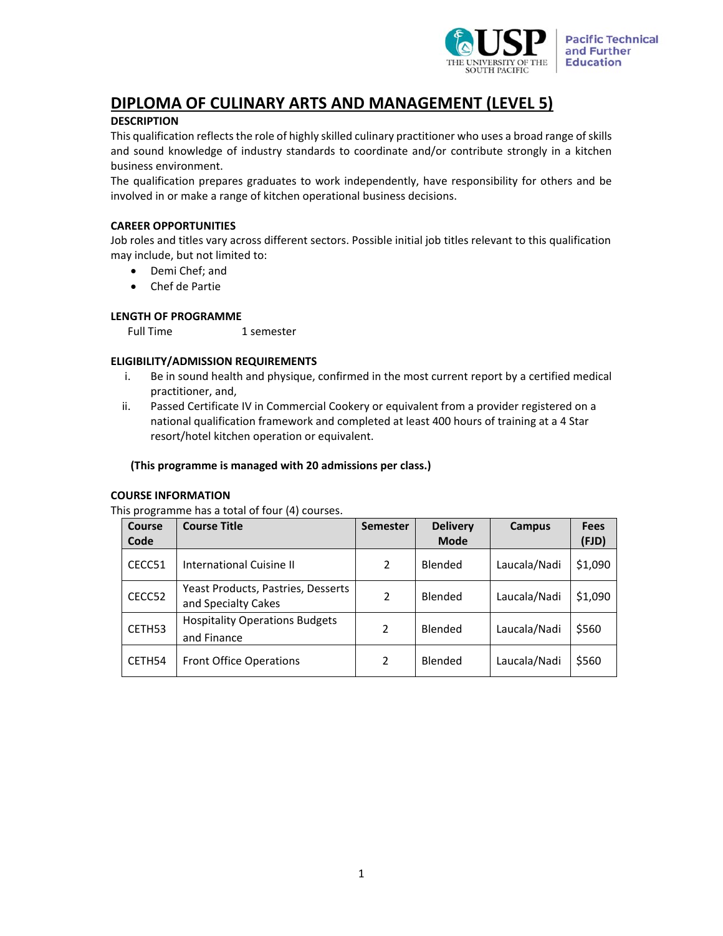

# **DIPLOMA OF CULINARY ARTS AND MANAGEMENT (LEVEL 5)**

# **DESCRIPTION**

This qualification reflects the role of highly skilled culinary practitioner who uses a broad range of skills and sound knowledge of industry standards to coordinate and/or contribute strongly in a kitchen business environment.

The qualification prepares graduates to work independently, have responsibility for others and be involved in or make a range of kitchen operational business decisions.

# **CAREER OPPORTUNITIES**

Job roles and titles vary across different sectors. Possible initial job titles relevant to this qualification may include, but not limited to:

- Demi Chef; and
- Chef de Partie

## **LENGTH OF PROGRAMME**

Full Time 1 semester

## **ELIGIBILITY/ADMISSION REQUIREMENTS**

- i. Be in sound health and physique, confirmed in the most current report by a certified medical practitioner, and,
- ii. Passed Certificate IV in Commercial Cookery or equivalent from a provider registered on a national qualification framework and completed at least 400 hours of training at a 4 Star resort/hotel kitchen operation or equivalent.

### **(This programme is managed with 20 admissions per class.)**

#### **COURSE INFORMATION**

This programme has a total of four (4) courses.

| Course<br>Code | <b>Course Title</b>                                       | <b>Semester</b> | <b>Delivery</b><br><b>Mode</b> | Campus       | <b>Fees</b><br>(FJD) |
|----------------|-----------------------------------------------------------|-----------------|--------------------------------|--------------|----------------------|
| CECC51         | <b>International Cuisine II</b>                           | 2               | Blended                        | Laucala/Nadi | \$1,090              |
| CECC52         | Yeast Products, Pastries, Desserts<br>and Specialty Cakes | 2               | Blended                        | Laucala/Nadi | \$1,090              |
| CETH53         | <b>Hospitality Operations Budgets</b><br>and Finance      | 2               | Blended                        | Laucala/Nadi | \$560                |
| CETH54         | <b>Front Office Operations</b>                            | 2               | Blended                        | Laucala/Nadi | \$560                |